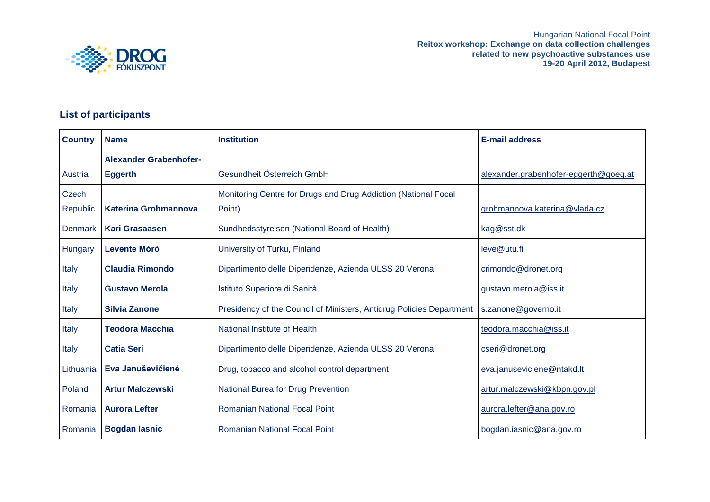



## **List of participants**

| <b>Country</b> | <b>Name</b>                              | <b>Institution</b>                                                   | <b>E-mail address</b>                 |
|----------------|------------------------------------------|----------------------------------------------------------------------|---------------------------------------|
| Austria        | Alexander Grabenhofer-<br><b>Eggerth</b> | Gesundheit Österreich GmbH                                           | alexander.grabenhofer-eggerth@goeg.at |
| Czech          |                                          | Monitoring Centre for Drugs and Drug Addiction (National Focal       |                                       |
| Republic       | <b>Katerina Grohmannova</b>              | Point)                                                               | grohmannova.katerina@vlada.cz         |
| <b>Denmark</b> | Kari Grasaasen                           | Sundhedsstyrelsen (National Board of Health)                         | kag@sst.dk                            |
| Hungary        | <b>Levente Móró</b>                      | University of Turku, Finland                                         | leve@utu.fi                           |
| Italy          | <b>Claudia Rimondo</b>                   | Dipartimento delle Dipendenze, Azienda ULSS 20 Verona                | crimondo@dronet.org                   |
| Italy          | <b>Gustavo Merola</b>                    | Istituto Superiore di Sanità                                         | gustavo.merola@iss.it                 |
| Italy          | <b>Silvia Zanone</b>                     | Presidency of the Council of Ministers, Antidrug Policies Department | s.zanone@governo.it                   |
| Italy          | <b>Teodora Macchia</b>                   | National Institute of Health                                         | teodora.macchia@iss.it                |
| Italy          | <b>Catia Seri</b>                        | Dipartimento delle Dipendenze, Azienda ULSS 20 Verona                | cseri@dronet.org                      |
| Lithuania      | Eva Januševičienė                        | Drug, tobacco and alcohol control department                         | eva.januseviciene@ntakd.lt            |
| Poland         | <b>Artur Malczewski</b>                  | National Burea for Drug Prevention                                   | artur.malczewski@kbpn.gov.pl          |
| Romania        | <b>Aurora Lefter</b>                     | <b>Romanian National Focal Point</b>                                 | aurora.lefter@ana.gov.ro              |
| Romania        | <b>Bogdan lasnic</b>                     | <b>Romanian National Focal Point</b>                                 | bogdan.iasnic@ana.gov.ro              |